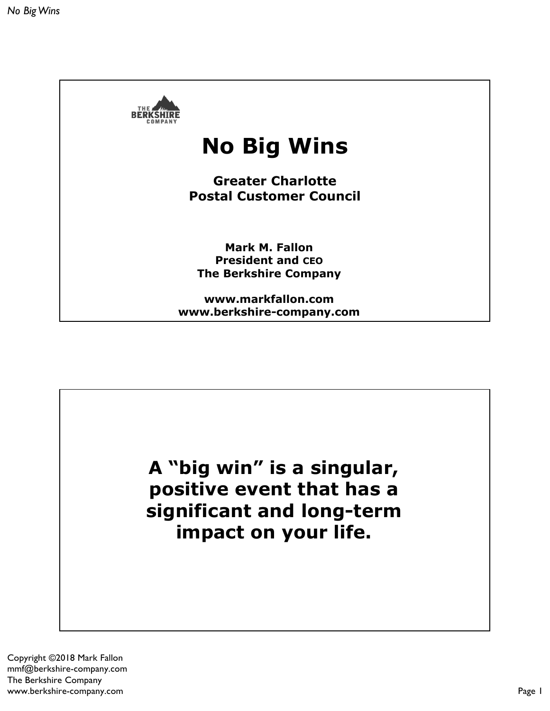

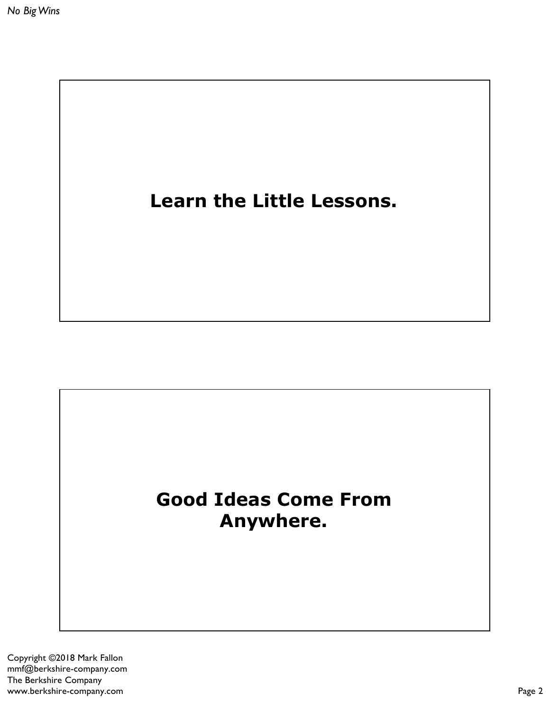

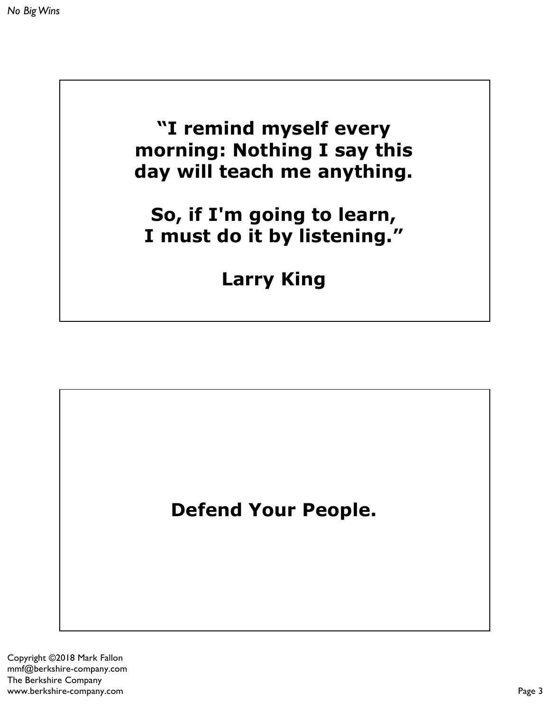**"I remind myself every morning: Nothing I say this day will teach me anything.**

**So, if I'm going to learn, I must do it by listening."**

**Larry King**

**Defend Your People.**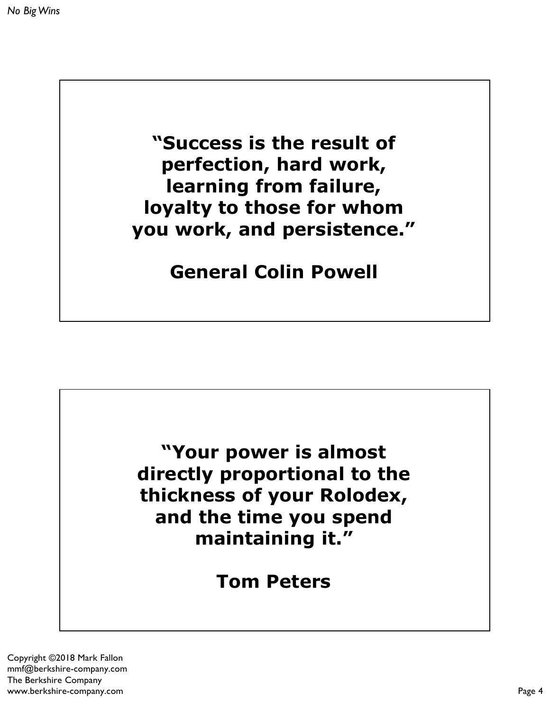**"Success is the result of perfection, hard work, learning from failure, loyalty to those for whom you work, and persistence."**

**General Colin Powell**



**Tom Peters**

Copyright ©2018 Mark Fallon mmf@berkshire-company.com The Berkshire Company www.berkshire-company.com Page 4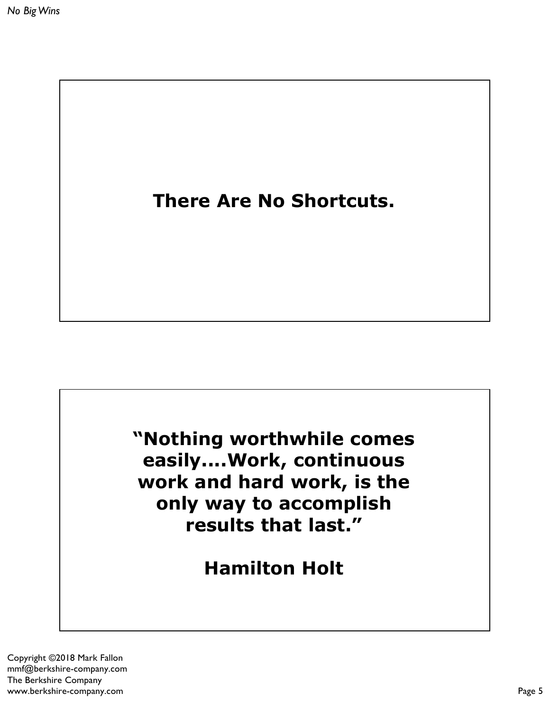



**Hamilton Holt**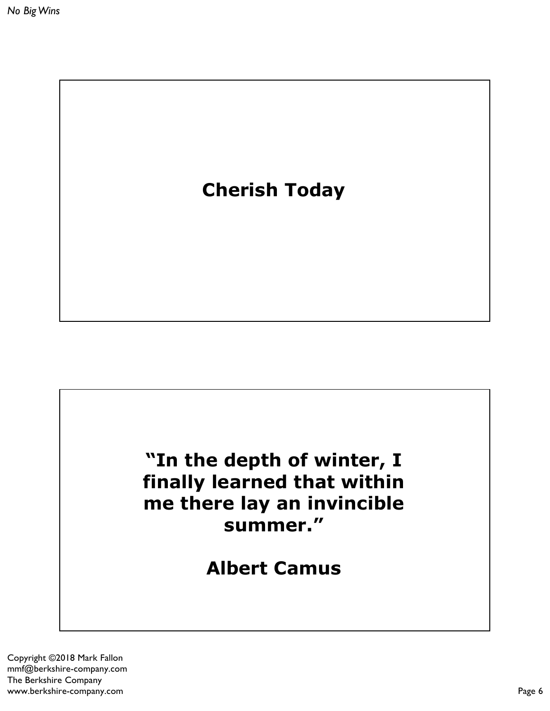

# **"In the depth of winter, I finally learned that within me there lay an invincible summer."**

**Albert Camus**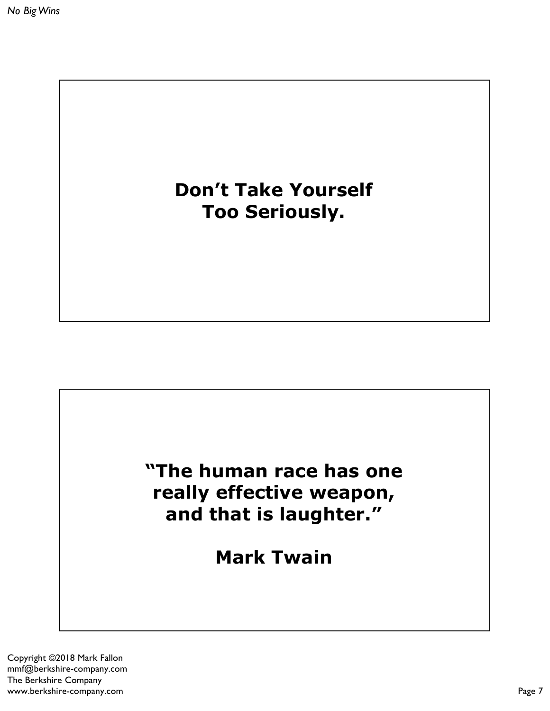# **Don't Take Yourself Too Seriously.**

## **"The human race has one really effective weapon, and that is laughter."**

**Mark Twain**

Copyright ©2018 Mark Fallon mmf@berkshire-company.com The Berkshire Company www.berkshire-company.com Page 7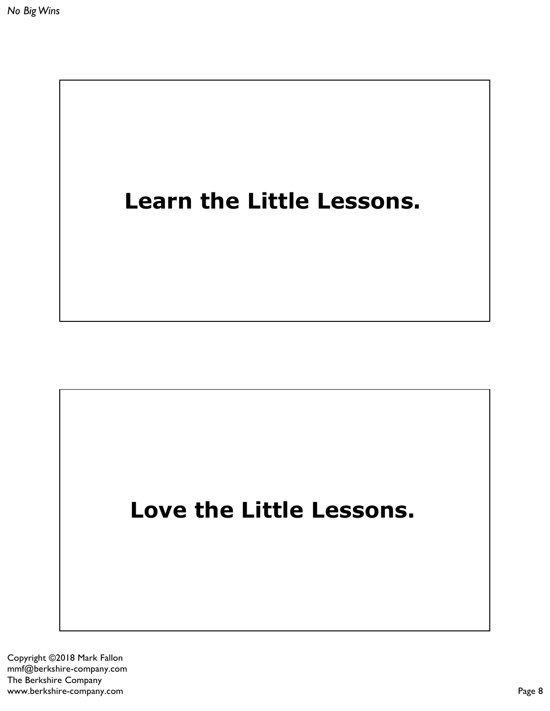

# **Love the Little Lessons.**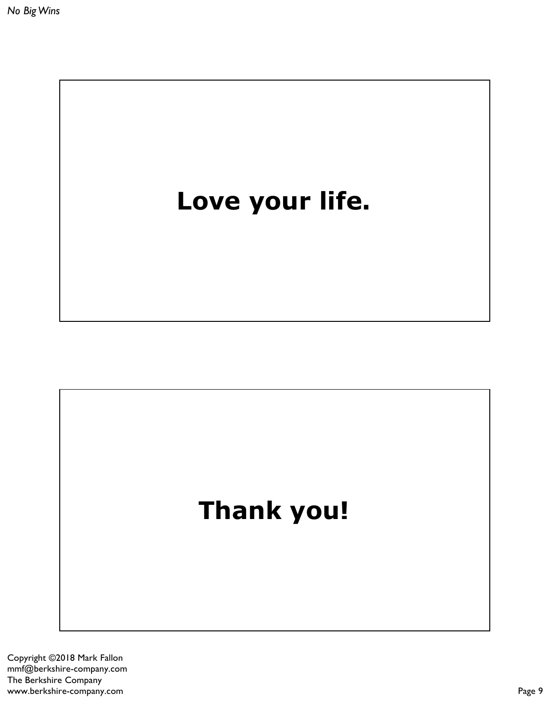

# **Thank you!**

Copyright ©2018 Mark Fallon mmf@berkshire-company.com The Berkshire Company www.berkshire-company.com Page 9